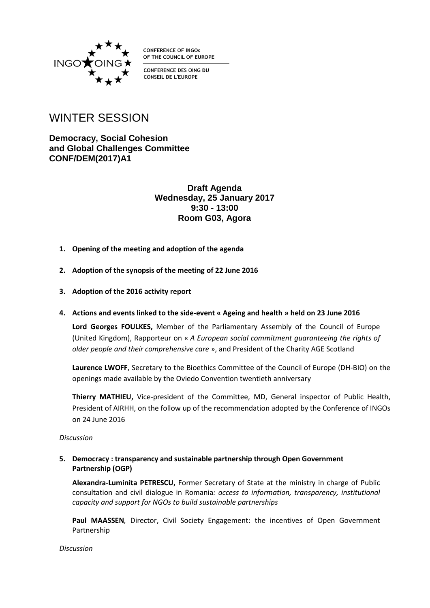

**CONFERENCE OF INGOS** OF THE COUNCIL OF EUROPE

CONFERENCE DES OING DU **CONSEIL DE L'EUROPE** 

# WINTER SESSION

**Democracy, Social Cohesion and Global Challenges Committee CONF/DEM(2017)A1**

> **Draft Agenda Wednesday, 25 January 2017 9:30 - 13:00 Room G03, Agora**

- **1. Opening of the meeting and adoption of the agenda**
- **2. Adoption of the synopsis of the meeting of 22 June 2016**
- **3. Adoption of the 2016 activity report**
- **4. Actions and events linked to the side-event « Ageing and health » held on 23 June 2016**

**Lord Georges FOULKES,** Member of the Parliamentary Assembly of the Council of Europe (United Kingdom), Rapporteur on « *A European social commitment guaranteeing the rights of older people and their comprehensive care* », and President of the Charity AGE Scotland

**Laurence LWOFF**, Secretary to the Bioethics Committee of the Council of Europe (DH-BIO) on the openings made available by the Oviedo Convention twentieth anniversary

**Thierry MATHIEU,** Vice-president of the Committee, MD, General inspector of Public Health, President of AIRHH, on the follow up of the recommendation adopted by the Conference of INGOs on 24 June 2016

*Discussion*

## **5. Democracy : transparency and sustainable partnership through Open Government Partnership (OGP)**

**Alexandra-Luminita PETRESCU,** Former Secretary of State at the ministry in charge of Public consultation and civil dialogue in Romania*: access to information, transparency, institutional capacity and support for NGOs to build sustainable partnerships*

**Paul MAASSEN***,* Director, Civil Society Engagement: the incentives of Open Government Partnership

*Discussion*